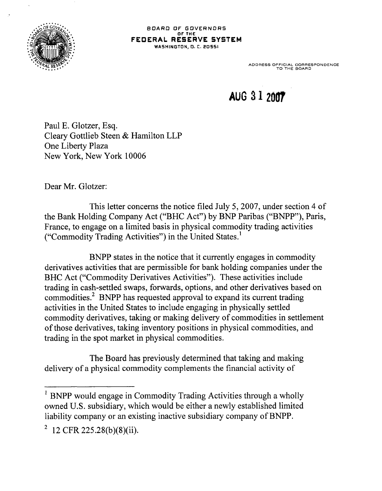

ADDRESS OFFICIAL CORRESPONDENCE TO THE BOARD

## **AUG 31 2007**

Paul E. Glotzer, Esq. Cleary Gottlieb Steen & Hamilton LLP One Liberty Plaza New York, New York 10006

Dear Mr. Glotzer:

This letter concerns the notice filed July 5, 2007, under section 4 of the Bank Holding Company Act ("BHC Act") by BNP Paribas ("BNPP"), Paris, France, to engage on a limited basis in physical commodity trading activities ("Commodity Trading Activities") in the United States.<sup>1</sup>

BNPP states in the notice that it currently engages in commodity derivatives activities that are permissible for bank holding companies under the BHC Act ("Commodity Derivatives Activities"). These activities include trading in cash-settled swaps, forwards, options, and other derivatives based on commodities.2 BNPP has requested approval to expand its current trading activities in the United States to include engaging in physically settled commodity derivatives, taking or making delivery of commodities in settlement of those derivatives, taking inventory positions in physical commodities, and trading in the spot market in physical commodities.

The Board has previously determined that taking and making delivery of a physical commodity complements the financial activity of

 $<sup>1</sup>$  BNPP would engage in Commodity Trading Activities through a wholly</sup> owned U.S. subsidiary, which would be either a newly established limited liability company or an existing inactive subsidiary company of BNPP.

 $2 \text{ T2 CFR } 225.28(b)(8)(ii).$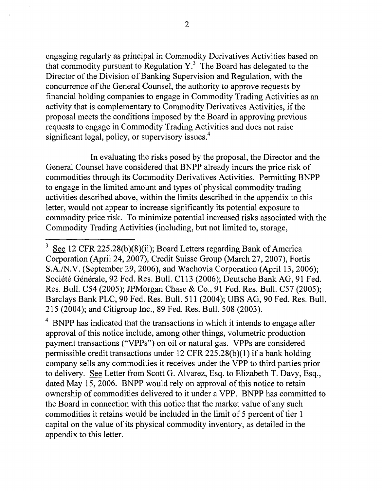engaging regularly as principal in Commodity Derivatives Activities based on that commodity pursuant to Regulation  $Y<sup>3</sup>$ . The Board has delegated to the Director of the Division of Banking Supervision and Regulation, with the concurrence of the General Counsel, the authority to approve requests by financial holding companies to engage in Commodity Trading Activities as an activity that is complementary to Commodity Derivatives Activities, if the proposal meets the conditions imposed by the Board in approving previous requests to engage in Commodity Trading Activities and does not raise significant legal, policy, or supervisory issues.<sup>4</sup>

In evaluating the risks posed by the proposal, the Director and the General Counsel have considered that BNPP already incurs the price risk of commodities through its Commodity Derivatives Activities. Permitting BNPP to engage in the limited amount and types of physical commodity trading activities described above, within the limits described in the appendix to this letter, would not appear to increase significantly its potential exposure to commodity price risk. To minimize potential increased risks associated with the Commodity Trading Activities (including, but not limited to, storage,

 $4$  BNPP has indicated that the transactions in which it intends to engage after approval of this notice include, among other things, volumetric production payment transactions ("VPPs") on oil or natural gas. VPPs are considered permissible credit transactions under 12 CFR 225.28(b )(1) if a bank holding company sells any commodities it receives under the VPP to third parties prior to delivery. See Letter from Scott G. Alvarez, Esq. to Elizabeth T. Davy, Esq., dated May 15, 2006. BNPP would rely on approval of this notice to retain ownership of commodities delivered to it under a VPP. BNPP has committed to the Board in connection with this notice that the market value of any such commodities it retains would be included in the limit of 5 percent of tier 1 capital on the value of its physical commodity inventory, as detailed in the appendix to this letter.

See 12 CFR 225.28(b)(8)(ii); Board Letters regarding Bank of America Corporation (April24, 2007), Credit Suisse Group (March 27, 2007), Fortis S.A./N.V. (September 29, 2006), and Wachovia Corporation (April 13, 2006); Société Générale, 92 Fed. Res. Bull. C113 (2006); Deutsche Bank AG, 91 Fed. Res. Bull. C54 (2005); JPMorgan Chase & Co., 91 Fed. Res. Bull. C57 (2005); Barclays Bank PLC, 90 Fed. Res. Bull. 511 (2004 ); UBS AG, 90 Fed. Res. Bull. 215 (2004); and Citigroup Inc., 89 Fed. Res. Bull. 508 (2003).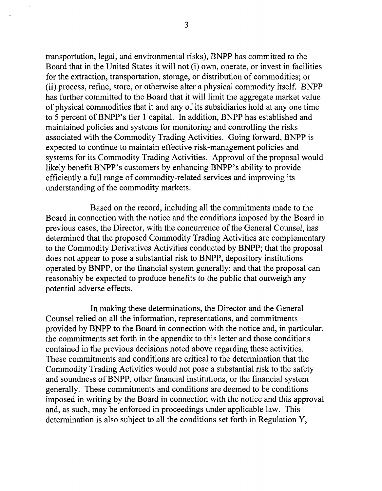transportation, legal, and environmental risks), BNPP has committed to the Board that in the United States it will not (i) own, operate, or invest in facilities for the extraction, transportation, storage, or distribution of commodities; or (ii) process, refine, store, or otherwise alter a physical commodity itself. BNPP has further committed to the Board that it will limit the aggregate market value of physical commodities that it and any of its subsidiaries hold at any one time to 5 percent of BNPP' s tier 1 capital. In addition, BNPP has established and maintained policies and systems for monitoring and controlling the risks associated with the Commodity Trading Activities. Going forward, BNPP is expected to continue to maintain effective risk-management policies and systems for its Commodity Trading Activities. Approval of the proposal would likely benefit BNPP's customers by enhancing BNPP's ability to provide efficiently a full range of commodity-related services and improving its understanding of the commodity markets.

Based on the record, including all the commitments made to the Board in connection with the notice and the conditions imposed by the Board in previous cases, the Director, with the concurrence of the General Counsel, has determined that the proposed Commodity Trading Activities are complementary to the Commodity Derivatives Activities conducted by BNPP; that the proposal does not appear to pose a substantial risk to BNPP, depository institutions operated by BNPP, or the financial system generally; and that the proposal can reasonably be expected to produce benefits to the public that outweigh any potential adverse effects.

In making these determinations, the Director and the General Counsel relied on all the information, representations, and commitments provided by BNPP to the Board in connection with the notice and, in particular, the commitments set forth in the appendix to this letter and those conditions contained in the previous decisions noted above regarding these activities. These commitments and conditions are critical to the determination that the Commodity Trading Activities would not pose a substantial risk to the safety and soundness ofBNPP, other financial institutions, or the financial system generally. These commitments and conditions are deemed to be conditions imposed in writing by the Board in connection with the notice and this approval and, as such, may be enforced in proceedings under applicable law. This determination is also subject to all the conditions set forth in Regulation Y,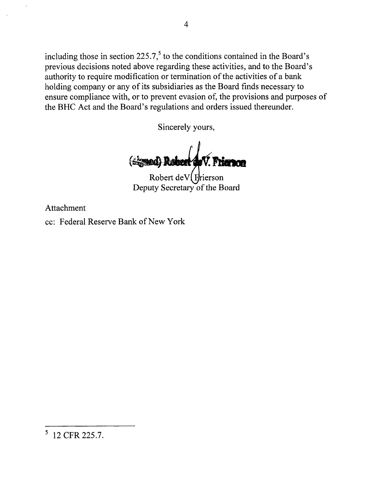including those in section  $225.7$ ,<sup>5</sup> to the conditions contained in the Board's previous decisions noted above regarding these activities, and to the Board's authority to require modification or termination of the activities of a bank holding company or any of its subsidiaries as the Board finds necessary to ensure compliance with, or to prevent evasion of, the provisions and purposes of the BHC Act and the Board's regulations and orders issued thereunder.

Sincerely yours,

(Signad) Rabert de V.

Robert de V $\int$ Frierson Deputy Secretary of the Board

Attachment

cc: Federal Reserve Bank of New York

<sup>5 12</sup> CFR 225.7.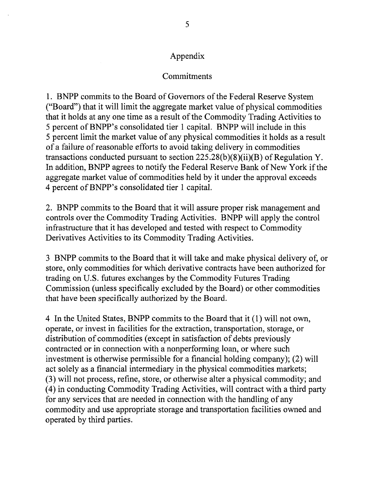## Appendix

## Commitments

1. BNPP commits to the Board of Governors of the Federal Reserve System ("Board") that it will limit the aggregate market value of physical commodities that it holds at any one time as a result of the Commodity Trading Activities to 5 percent of BNPP' s consolidated tier 1 capital. BNPP will include in this 5 percent limit the market value of any physical commodities it holds as a result of a failure of reasonable efforts to avoid taking delivery in commodities transactions conducted pursuant to section  $225.28(b)(8)(ii)(B)$  of Regulation Y. In addition, BNPP agrees to notify the Federal Reserve Bank of New York if the aggregate market value of commodities held by it under the approval exceeds 4 percent ofBNPP's consolidated tier 1 capital.

2. BNPP commits to the Board that it will assure proper risk management and controls over the Commodity Trading Activities. BNPP will apply the control infrastructure that it has developed and tested with respect to Commodity Derivatives Activities to its Commodity Trading Activities.

3 BNPP commits to the Board that it will take and make physical delivery of, or store, only commodities for which derivative contracts have been authorized for trading on U.S. futures exchanges by the Commodity Futures Trading Commission (unless specifically excluded by the Board) or other commodities that have been specifically authorized by the Board.

4 In the United States, BNPP commits to the Board that it ( 1) will not own, operate, or invest in facilities for the extraction, transportation, storage, or distribution of commodities (except in satisfaction of debts previously contracted or in connection with a nonperforming loan, or where such investment is otherwise permissible for a financial holding company); (2) will act solely as a financial intermediary in the physical commodities markets; (3) will not process, refine, store, or otherwise alter a physical commodity; and ( 4) in conducting Commodity Trading Activities, will contract with a third party for any services that are needed in connection with the handling of any commodity and use appropriate storage and transportation facilities owned and operated by third parties.